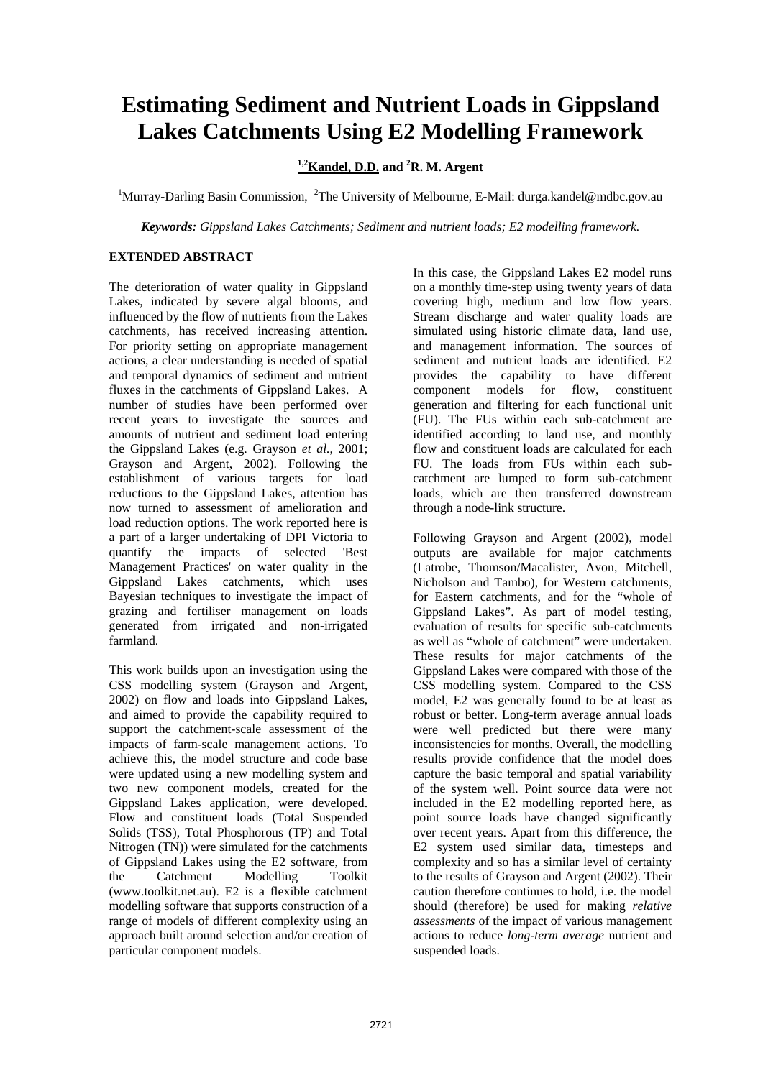# **Estimating Sediment and Nutrient Loads in Gippsland Lakes Catchments Using E2 Modelling Framework**

## <sup>1,2</sup>**Kandel, D.D.** and <sup>2</sup>**R.** M. Argent

<sup>1</sup>Murray-Darling Basin Commission, <sup>2</sup>The University of Melbourne, E-Mail: durga.kandel@mdbc.gov.au

*Keywords: Gippsland Lakes Catchments; Sediment and nutrient loads; E2 modelling framework.*

## **EXTENDED ABSTRACT**

The deterioration of water quality in Gippsland Lakes, indicated by severe algal blooms, and influenced by the flow of nutrients from the Lakes catchments, has received increasing attention. For priority setting on appropriate management actions, a clear understanding is needed of spatial and temporal dynamics of sediment and nutrient fluxes in the catchments of Gippsland Lakes. A number of studies have been performed over recent years to investigate the sources and amounts of nutrient and sediment load entering the Gippsland Lakes (e.g. Grayson *et al.*, 2001; Grayson and Argent, 2002). Following the establishment of various targets for load reductions to the Gippsland Lakes, attention has now turned to assessment of amelioration and load reduction options. The work reported here is a part of a larger undertaking of DPI Victoria to quantify the impacts of selected 'Best Management Practices' on water quality in the Gippsland Lakes catchments, which uses Bayesian techniques to investigate the impact of grazing and fertiliser management on loads generated from irrigated and non-irrigated farmland.

This work builds upon an investigation using the CSS modelling system (Grayson and Argent, 2002) on flow and loads into Gippsland Lakes, and aimed to provide the capability required to support the catchment-scale assessment of the impacts of farm-scale management actions. To achieve this, the model structure and code base were updated using a new modelling system and two new component models, created for the Gippsland Lakes application, were developed. Flow and constituent loads (Total Suspended Solids (TSS), Total Phosphorous (TP) and Total Nitrogen (TN)) were simulated for the catchments of Gippsland Lakes using the E2 software, from the Catchment Modelling Toolkit (www.toolkit.net.au). E2 is a flexible catchment modelling software that supports construction of a range of models of different complexity using an approach built around selection and/or creation of particular component models.

In this case, the Gippsland Lakes E2 model runs on a monthly time-step using twenty years of data covering high, medium and low flow years. Stream discharge and water quality loads are simulated using historic climate data, land use, and management information. The sources of sediment and nutrient loads are identified. E2 provides the capability to have different component models for flow, constituent generation and filtering for each functional unit (FU). The FUs within each sub-catchment are identified according to land use, and monthly flow and constituent loads are calculated for each FU. The loads from FUs within each subcatchment are lumped to form sub-catchment loads, which are then transferred downstream through a node-link structure.

Following Grayson and Argent (2002), model outputs are available for major catchments (Latrobe, Thomson/Macalister, Avon, Mitchell, Nicholson and Tambo), for Western catchments, for Eastern catchments, and for the "whole of Gippsland Lakes". As part of model testing, evaluation of results for specific sub-catchments as well as "whole of catchment" were undertaken. These results for major catchments of the Gippsland Lakes were compared with those of the CSS modelling system. Compared to the CSS model, E2 was generally found to be at least as robust or better. Long-term average annual loads were well predicted but there were many inconsistencies for months. Overall, the modelling results provide confidence that the model does capture the basic temporal and spatial variability of the system well. Point source data were not included in the E2 modelling reported here, as point source loads have changed significantly over recent years. Apart from this difference, the E2 system used similar data, timesteps and complexity and so has a similar level of certainty to the results of Grayson and Argent (2002). Their caution therefore continues to hold, i.e. the model should (therefore) be used for making *relative assessments* of the impact of various management actions to reduce *long-term average* nutrient and suspended loads.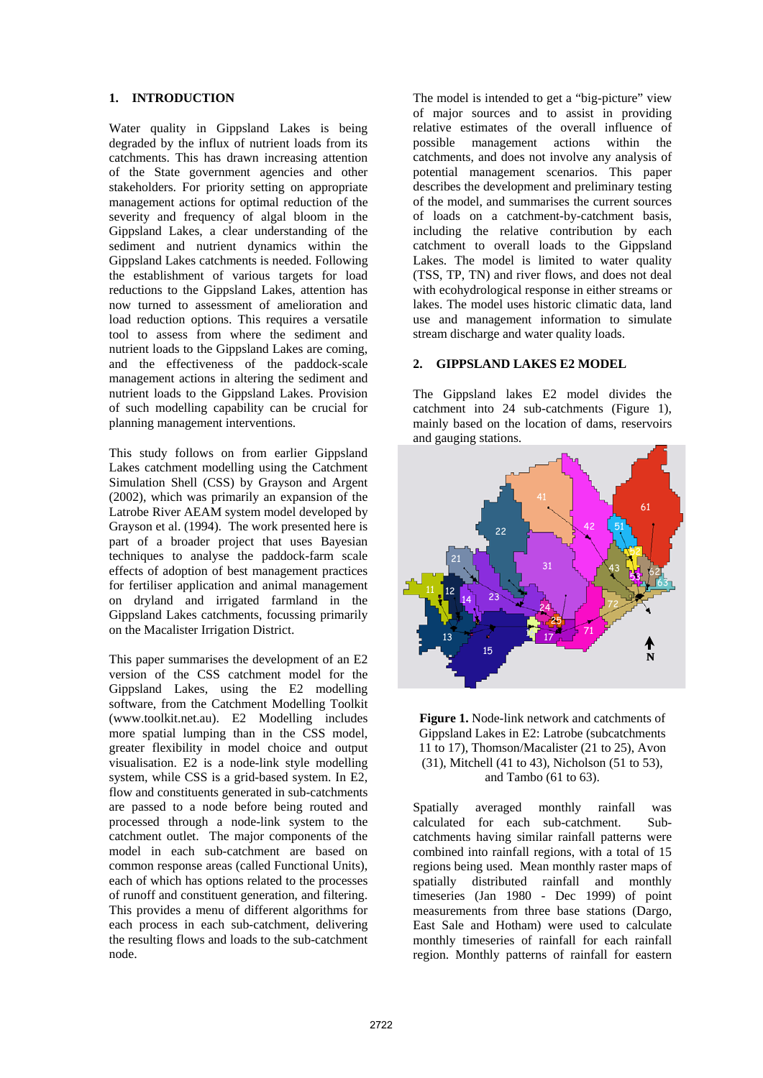### **1. INTRODUCTION**

Water quality in Gippsland Lakes is being degraded by the influx of nutrient loads from its catchments. This has drawn increasing attention of the State government agencies and other stakeholders. For priority setting on appropriate management actions for optimal reduction of the severity and frequency of algal bloom in the Gippsland Lakes, a clear understanding of the sediment and nutrient dynamics within the Gippsland Lakes catchments is needed. Following the establishment of various targets for load reductions to the Gippsland Lakes, attention has now turned to assessment of amelioration and load reduction options. This requires a versatile tool to assess from where the sediment and nutrient loads to the Gippsland Lakes are coming, and the effectiveness of the paddock-scale management actions in altering the sediment and nutrient loads to the Gippsland Lakes. Provision of such modelling capability can be crucial for planning management interventions.

This study follows on from earlier Gippsland Lakes catchment modelling using the Catchment Simulation Shell (CSS) by Grayson and Argent (2002), which was primarily an expansion of the Latrobe River AEAM system model developed by Grayson et al. (1994). The work presented here is part of a broader project that uses Bayesian techniques to analyse the paddock-farm scale effects of adoption of best management practices for fertiliser application and animal management on dryland and irrigated farmland in the Gippsland Lakes catchments, focussing primarily on the Macalister Irrigation District.

This paper summarises the development of an E2 version of the CSS catchment model for the Gippsland Lakes, using the E2 modelling software, from the Catchment Modelling Toolkit (www.toolkit.net.au). E2 Modelling includes more spatial lumping than in the CSS model, greater flexibility in model choice and output visualisation. E2 is a node-link style modelling system, while CSS is a grid-based system. In E2, flow and constituents generated in sub-catchments are passed to a node before being routed and processed through a node-link system to the catchment outlet. The major components of the model in each sub-catchment are based on common response areas (called Functional Units), each of which has options related to the processes of runoff and constituent generation, and filtering. This provides a menu of different algorithms for each process in each sub-catchment, delivering the resulting flows and loads to the sub-catchment node.

The model is intended to get a "big-picture" view of major sources and to assist in providing relative estimates of the overall influence of possible management actions within the catchments, and does not involve any analysis of potential management scenarios. This paper describes the development and preliminary testing of the model, and summarises the current sources of loads on a catchment-by-catchment basis, including the relative contribution by each catchment to overall loads to the Gippsland Lakes. The model is limited to water quality (TSS, TP, TN) and river flows, and does not deal with ecohydrological response in either streams or lakes. The model uses historic climatic data, land use and management information to simulate stream discharge and water quality loads.

## **2. GIPPSLAND LAKES E2 MODEL**

The Gippsland lakes E2 model divides the catchment into 24 sub-catchments (Figure 1), mainly based on the location of dams, reservoirs and gauging stations.





Spatially averaged monthly rainfall was calculated for each sub-catchment. Subcatchments having similar rainfall patterns were combined into rainfall regions, with a total of 15 regions being used. Mean monthly raster maps of spatially distributed rainfall and monthly timeseries (Jan 1980 - Dec 1999) of point measurements from three base stations (Dargo, East Sale and Hotham) were used to calculate monthly timeseries of rainfall for each rainfall region. Monthly patterns of rainfall for eastern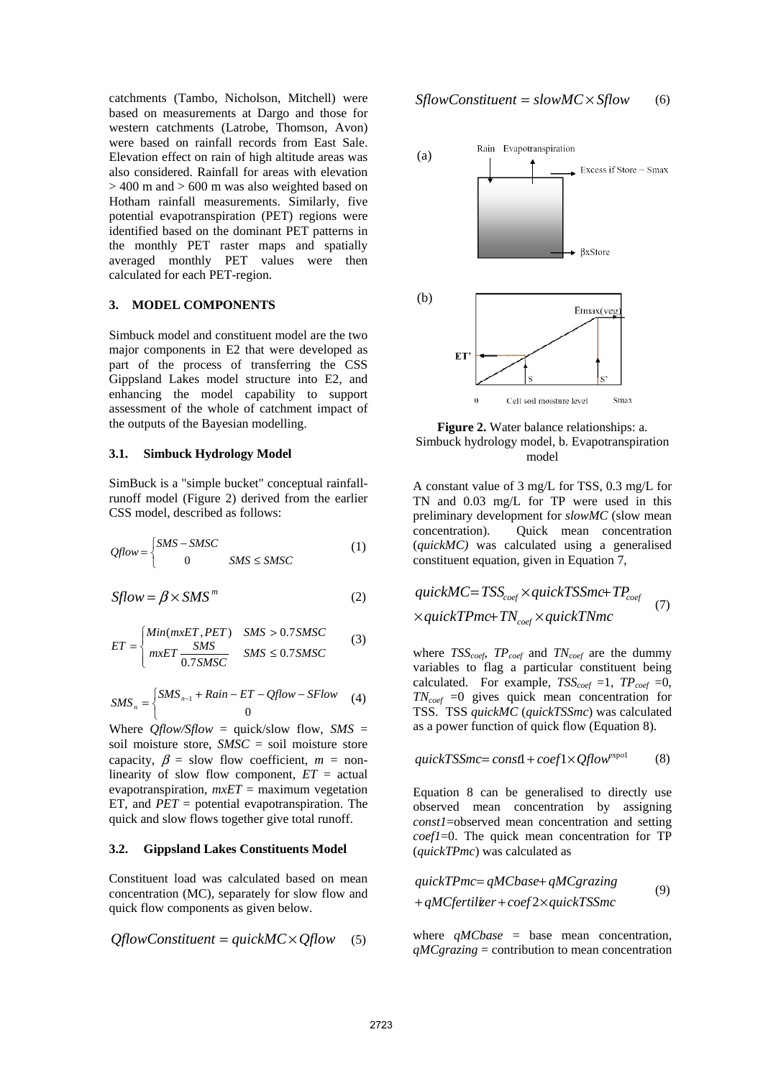catchments (Tambo, Nicholson, Mitchell) were based on measurements at Dargo and those for western catchments (Latrobe, Thomson, Avon) were based on rainfall records from East Sale. Elevation effect on rain of high altitude areas was also considered. Rainfall for areas with elevation  $> 400$  m and  $> 600$  m was also weighted based on Hotham rainfall measurements. Similarly, five potential evapotranspiration (PET) regions were identified based on the dominant PET patterns in the monthly PET raster maps and spatially averaged monthly PET values were then calculated for each PET-region.

#### **3. MODEL COMPONENTS**

Simbuck model and constituent model are the two major components in E2 that were developed as part of the process of transferring the CSS Gippsland Lakes model structure into E2, and enhancing the model capability to support assessment of the whole of catchment impact of the outputs of the Bayesian modelling.

#### **3.1. Simbuck Hydrology Model**

SimBuck is a "simple bucket" conceptual rainfallrunoff model (Figure 2) derived from the earlier CSS model, described as follows:

$$
Qflow = \begin{cases} SMS - SMS & (1) \\ 0 & SMS \leq SMSC \end{cases}
$$

$$
Sflow = \beta \times SMS^m \tag{2}
$$

$$
ET = \begin{cases} Min(mxET, PET) & SMS > 0.7SMSC \\ mxET & \frac{SMS}{0.7SMSC} \end{cases}
$$
 (3)

$$
SMS_n = \begin{cases} SMS_{n-1} + Rain - ET - Qflow - SFlow & (4) \\ 0 & (4) \end{cases}
$$

Where *Qflow/Sflow* = quick/slow flow, *SMS* = soil moisture store, *SMSC* = soil moisture store capacity,  $\beta$  = slow flow coefficient,  $m =$  nonlinearity of slow flow component, *ET* = actual evapotranspiration, *mxET* = maximum vegetation ET, and *PET* = potential evapotranspiration. The quick and slow flows together give total runoff.

#### **3.2. Gippsland Lakes Constituents Model**

Constituent load was calculated based on mean concentration (MC), separately for slow flow and quick flow components as given below.

$$
Q flowConstituent = quickMC \times Qflow
$$
 (5)

$$
SflowConstituent = slowMC \times Sflow
$$
 (6)



**Figure 2.** Water balance relationships: a. Simbuck hydrology model, b. Evapotranspiration model

A constant value of 3 mg/L for TSS, 0.3 mg/L for TN and 0.03 mg/L for TP were used in this preliminary development for *slowMC* (slow mean concentration). Quick mean concentration (*quickMC)* was calculated using a generalised constituent equation, given in Equation 7,

$$
quickMC = TSS_{coef} \times quickTSSmc + TP_{coef}
$$
  
\n
$$
\times quickTPmc + TN_{coef} \times quickTNmc
$$
 (7)

where  $TSS_{coef}$ ,  $TP_{coef}$  and  $TN_{coef}$  are the dummy variables to flag a particular constituent being calculated. For example,  $TSS_{coef} =1$ ,  $TP_{coef} =0$ , *TNcoef* =0 gives quick mean concentration for TSS. TSS *quickMC* (*quickTSSmc*) was calculated as a power function of quick flow (Equation 8).

$$
quickTSSmc = const1 + coef1 \times Qflow^{expol}
$$
 (8)

Equation 8 can be generalised to directly use observed mean concentration by assigning *const1*=observed mean concentration and setting *coef1*=0. The quick mean concentration for TP (*quickTPmc*) was calculated as

$$
quickTPmc = qMCbase + qMCgrazing+ qMCfertilizer + coef2×quickTSSmc
$$
\n(9)

where *qMCbase* = base mean concentration, *qMCgrazing* = contribution to mean concentration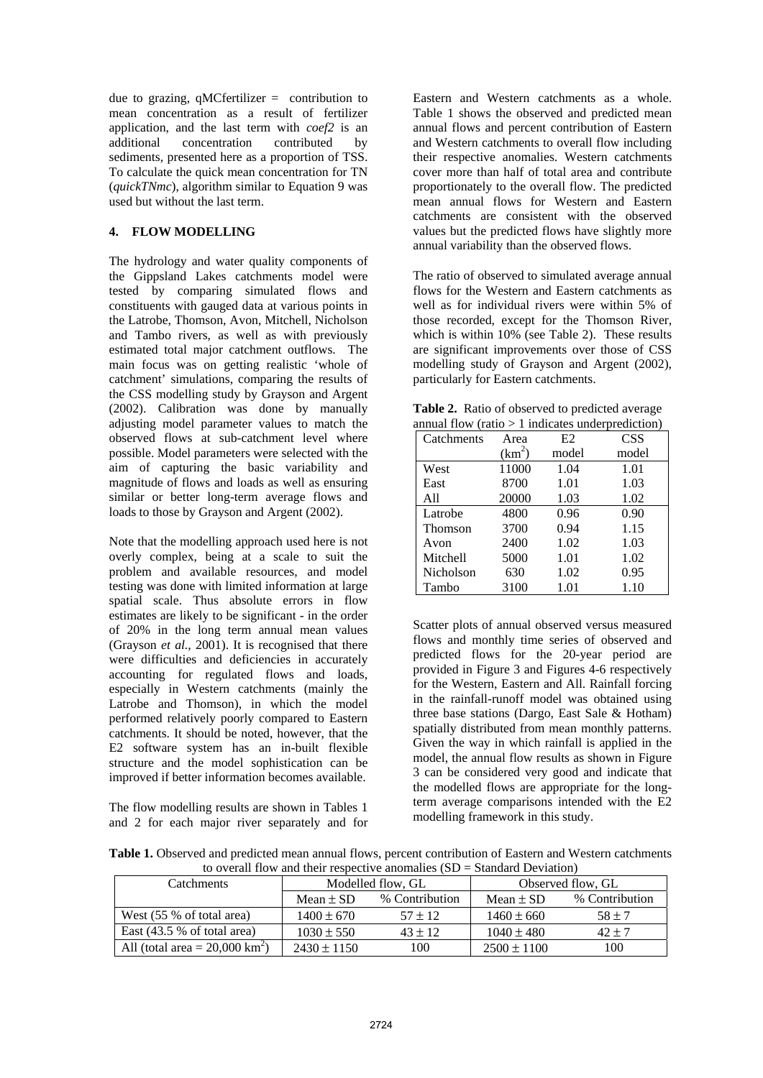due to grazing, qMCfertilizer = contribution to mean concentration as a result of fertilizer application, and the last term with *coef2* is an additional concentration contributed by sediments, presented here as a proportion of TSS. To calculate the quick mean concentration for TN (*quickTNmc*), algorithm similar to Equation 9 was used but without the last term.

## **4. FLOW MODELLING**

The hydrology and water quality components of the Gippsland Lakes catchments model were tested by comparing simulated flows and constituents with gauged data at various points in the Latrobe, Thomson, Avon, Mitchell, Nicholson and Tambo rivers, as well as with previously estimated total major catchment outflows. The main focus was on getting realistic 'whole of catchment' simulations, comparing the results of the CSS modelling study by Grayson and Argent (2002). Calibration was done by manually adjusting model parameter values to match the observed flows at sub-catchment level where possible. Model parameters were selected with the aim of capturing the basic variability and magnitude of flows and loads as well as ensuring similar or better long-term average flows and loads to those by Grayson and Argent (2002).

Note that the modelling approach used here is not overly complex, being at a scale to suit the problem and available resources, and model testing was done with limited information at large spatial scale. Thus absolute errors in flow estimates are likely to be significant - in the order of 20% in the long term annual mean values (Grayson *et al.*, 2001). It is recognised that there were difficulties and deficiencies in accurately accounting for regulated flows and loads, especially in Western catchments (mainly the Latrobe and Thomson), in which the model performed relatively poorly compared to Eastern catchments. It should be noted, however, that the E2 software system has an in-built flexible structure and the model sophistication can be improved if better information becomes available.

The flow modelling results are shown in Tables 1 and 2 for each major river separately and for Eastern and Western catchments as a whole. Table 1 shows the observed and predicted mean annual flows and percent contribution of Eastern and Western catchments to overall flow including their respective anomalies. Western catchments cover more than half of total area and contribute proportionately to the overall flow. The predicted mean annual flows for Western and Eastern catchments are consistent with the observed values but the predicted flows have slightly more annual variability than the observed flows.

The ratio of observed to simulated average annual flows for the Western and Eastern catchments as well as for individual rivers were within 5% of those recorded, except for the Thomson River, which is within 10% (see Table 2). These results are significant improvements over those of CSS modelling study of Grayson and Argent (2002), particularly for Eastern catchments.

| Table 2. Ratio of observed to predicted average     |  |
|-----------------------------------------------------|--|
| annual flow (ratio $> 1$ indicates underprediction) |  |

| allitual flow (fatio $\geq 1$ fliulcates underprediction) |                    |                |            |  |
|-----------------------------------------------------------|--------------------|----------------|------------|--|
| Catchments                                                | Area               | E <sub>2</sub> | <b>CSS</b> |  |
|                                                           | (km <sup>2</sup> ) | model          | model      |  |
| West                                                      | 11000              | 1.04           | 1.01       |  |
| East                                                      | 8700               | 1.01           | 1.03       |  |
| All                                                       | 20000              | 1.03           | 1.02       |  |
| Latrobe                                                   | 4800               | 0.96           | 0.90       |  |
| <b>Thomson</b>                                            | 3700               | 0.94           | 1.15       |  |
| Avon                                                      | 2400               | 1.02           | 1.03       |  |
| Mitchell                                                  | 5000               | 1.01           | 1.02       |  |
| Nicholson                                                 | 630                | 1.02           | 0.95       |  |
| Tambo                                                     | 3100               | 1.01           | 1.10       |  |

Scatter plots of annual observed versus measured flows and monthly time series of observed and predicted flows for the 20-year period are provided in Figure 3 and Figures 4-6 respectively for the Western, Eastern and All. Rainfall forcing in the rainfall-runoff model was obtained using three base stations (Dargo, East Sale & Hotham) spatially distributed from mean monthly patterns. Given the way in which rainfall is applied in the model, the annual flow results as shown in Figure 3 can be considered very good and indicate that the modelled flows are appropriate for the longterm average comparisons intended with the E2 modelling framework in this study.

**Table 1.** Observed and predicted mean annual flows, percent contribution of Eastern and Western catchments to overall flow and their respective anomalies  $(SD = Standard Deviation)$ 

| Catchments                                | Modelled flow, GL |                |                 | Observed flow, GL |
|-------------------------------------------|-------------------|----------------|-----------------|-------------------|
|                                           | Mean $\pm$ SD     | % Contribution | Mean $\pm$ SD   | % Contribution    |
| West (55 % of total area)                 | $1400 \pm 670$    | $57 + 12$      | $1460 \pm 660$  | $58 \pm 7$        |
| East $(43.5 % of total area)$             | $1030 \pm 550$    | $43 + 12$      | $1040 \pm 480$  | $42 \pm 7$        |
| All (total area = $20,000 \text{ km}^2$ ) | $2430 \pm 1150$   | 100            | $2500 \pm 1100$ | 100               |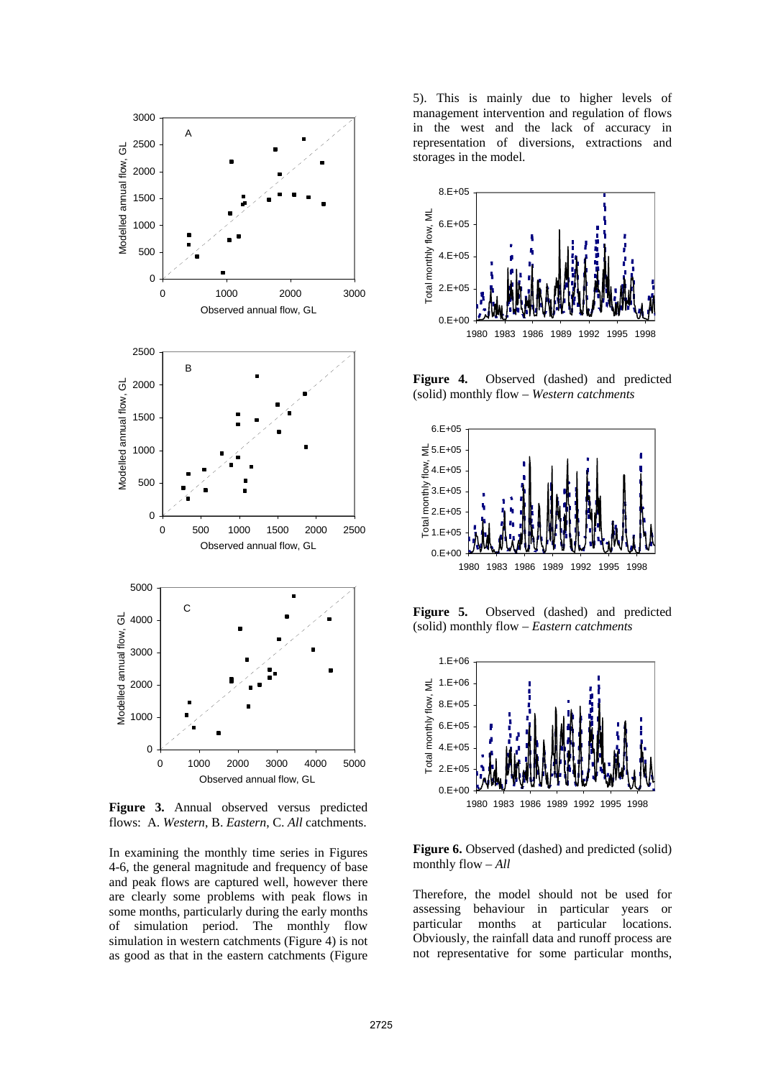

**Figure 3.** Annual observed versus predicted flows: A. *Western*, B. *Eastern*, C. *All* catchments.

In examining the monthly time series in Figures 4-6, the general magnitude and frequency of base and peak flows are captured well, however there are clearly some problems with peak flows in some months, particularly during the early months of simulation period. The monthly flow simulation in western catchments (Figure 4) is not as good as that in the eastern catchments (Figure 5). This is mainly due to higher levels of management intervention and regulation of flows in the west and the lack of accuracy in representation of diversions, extractions and storages in the model.



**Figure 4.** Observed (dashed) and predicted (solid) monthly flow – *Western catchments*



**Figure 5.** Observed (dashed) and predicted (solid) monthly flow – *Eastern catchments*



**Figure 6.** Observed (dashed) and predicted (solid) monthly flow – *All*

Therefore, the model should not be used for assessing behaviour in particular years or particular months at particular locations. Obviously, the rainfall data and runoff process are not representative for some particular months,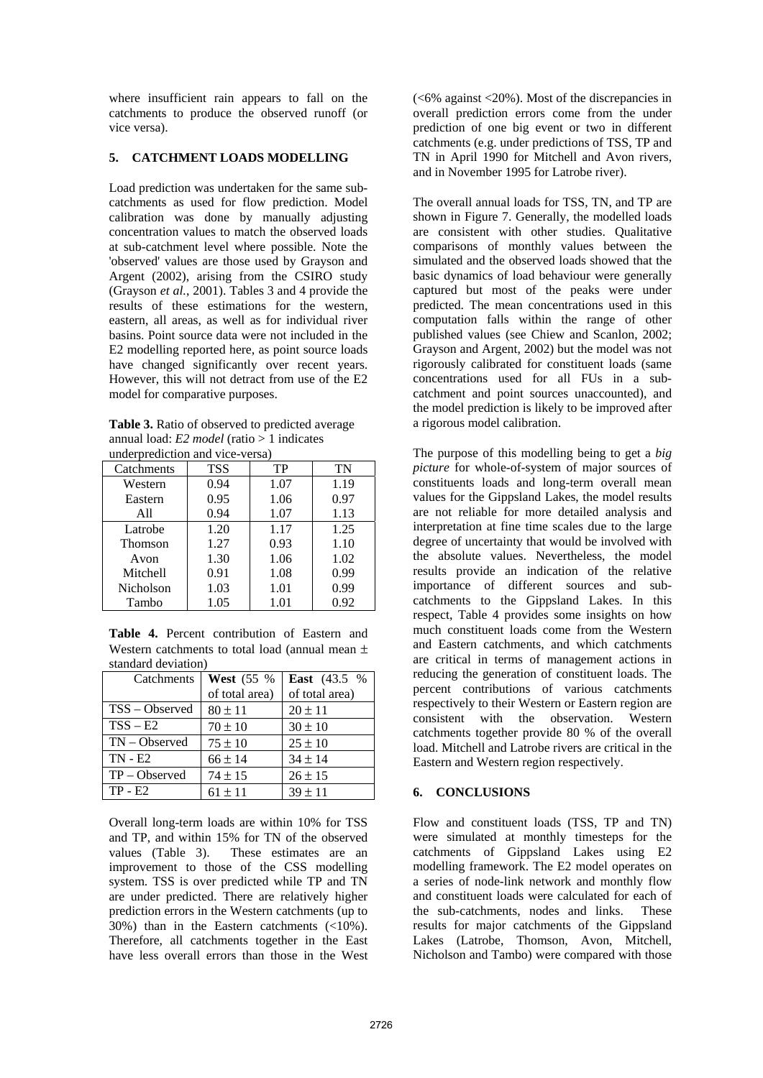where insufficient rain appears to fall on the catchments to produce the observed runoff (or vice versa).

## **5. CATCHMENT LOADS MODELLING**

Load prediction was undertaken for the same subcatchments as used for flow prediction. Model calibration was done by manually adjusting concentration values to match the observed loads at sub-catchment level where possible. Note the 'observed' values are those used by Grayson and Argent (2002), arising from the CSIRO study (Grayson *et al.*, 2001). Tables 3 and 4 provide the results of these estimations for the western, eastern, all areas, as well as for individual river basins. Point source data were not included in the E2 modelling reported here, as point source loads have changed significantly over recent years. However, this will not detract from use of the E2 model for comparative purposes.

**Table 3.** Ratio of observed to predicted average annual load: *E2 model* (ratio > 1 indicates underprediction and vice-versa)

| underprediction and vice-versa) |            |      |      |
|---------------------------------|------------|------|------|
| Catchments                      | <b>TSS</b> | TP   | TN   |
| Western                         | 0.94       | 1.07 | 1.19 |
| Eastern                         | 0.95       | 1.06 | 0.97 |
| All                             | 0.94       | 1.07 | 1.13 |
| Latrobe                         | 1.20       | 1.17 | 1.25 |
| <b>Thomson</b>                  | 1.27       | 0.93 | 1.10 |
| Avon                            | 1.30       | 1.06 | 1.02 |
| Mitchell                        | 0.91       | 1.08 | 0.99 |
| <b>Nicholson</b>                | 1.03       | 1.01 | 0.99 |
| Tambo                           | 1.05       | 1.01 | 0.92 |

**Table 4.** Percent contribution of Eastern and Western catchments to total load (annual mean  $\pm$ standard deviation)

| 5.0011          |                    |                       |  |  |
|-----------------|--------------------|-----------------------|--|--|
| Catchments      | <b>West</b> (55 %) | <b>East</b> $(43.5 %$ |  |  |
|                 | of total area)     | of total area)        |  |  |
| TSS – Observed  | $80 \pm 11$        | $20 \pm 11$           |  |  |
| $TSS - E2$      | $70 \pm 10$        | $30 \pm 10$           |  |  |
| $TN - Observed$ | $75 \pm 10$        | $25 \pm 10$           |  |  |
| $TN - E2$       | $66 \pm 14$        | $34 \pm 14$           |  |  |
| $TP - Observed$ | $74 \pm 15$        | $26 \pm 15$           |  |  |
| $TP - E2$       | $61 \pm 11$        | $39 \pm 11$           |  |  |

Overall long-term loads are within 10% for TSS and TP, and within 15% for TN of the observed values (Table 3). These estimates are an improvement to those of the CSS modelling system. TSS is over predicted while TP and TN are under predicted. There are relatively higher prediction errors in the Western catchments (up to 30%) than in the Eastern catchments (<10%). Therefore, all catchments together in the East have less overall errors than those in the West

(<6% against <20%). Most of the discrepancies in overall prediction errors come from the under prediction of one big event or two in different catchments (e.g. under predictions of TSS, TP and TN in April 1990 for Mitchell and Avon rivers, and in November 1995 for Latrobe river).

The overall annual loads for TSS, TN, and TP are shown in Figure 7. Generally, the modelled loads are consistent with other studies. Qualitative comparisons of monthly values between the simulated and the observed loads showed that the basic dynamics of load behaviour were generally captured but most of the peaks were under predicted. The mean concentrations used in this computation falls within the range of other published values (see Chiew and Scanlon, 2002; Grayson and Argent, 2002) but the model was not rigorously calibrated for constituent loads (same concentrations used for all FUs in a subcatchment and point sources unaccounted), and the model prediction is likely to be improved after a rigorous model calibration.

The purpose of this modelling being to get a *big picture* for whole-of-system of major sources of constituents loads and long-term overall mean values for the Gippsland Lakes, the model results are not reliable for more detailed analysis and interpretation at fine time scales due to the large degree of uncertainty that would be involved with the absolute values. Nevertheless, the model results provide an indication of the relative importance of different sources and subcatchments to the Gippsland Lakes. In this respect, Table 4 provides some insights on how much constituent loads come from the Western and Eastern catchments, and which catchments are critical in terms of management actions in reducing the generation of constituent loads. The percent contributions of various catchments respectively to their Western or Eastern region are consistent with the observation. Western catchments together provide 80 % of the overall load. Mitchell and Latrobe rivers are critical in the Eastern and Western region respectively.

## **6. CONCLUSIONS**

Flow and constituent loads (TSS, TP and TN) were simulated at monthly timesteps for the catchments of Gippsland Lakes using E2 modelling framework. The E2 model operates on a series of node-link network and monthly flow and constituent loads were calculated for each of the sub-catchments, nodes and links. These results for major catchments of the Gippsland Lakes (Latrobe, Thomson, Avon, Mitchell, Nicholson and Tambo) were compared with those